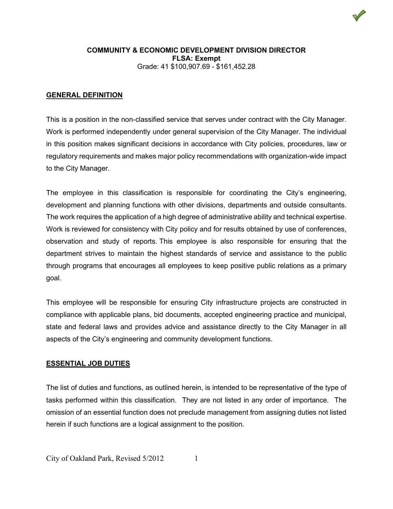

#### **GENERAL DEFINITION**

This is a position in the non-classified service that serves under contract with the City Manager. Work is performed independently under general supervision of the City Manager. The individual in this position makes significant decisions in accordance with City policies, procedures, law or regulatory requirements and makes major policy recommendations with organization-wide impact to the City Manager.

The employee in this classification is responsible for coordinating the City's engineering, development and planning functions with other divisions, departments and outside consultants. The work requires the application of a high degree of administrative ability and technical expertise. Work is reviewed for consistency with City policy and for results obtained by use of conferences, observation and study of reports. This employee is also responsible for ensuring that the department strives to maintain the highest standards of service and assistance to the public through programs that encourages all employees to keep positive public relations as a primary goal.

This employee will be responsible for ensuring City infrastructure projects are constructed in compliance with applicable plans, bid documents, accepted engineering practice and municipal, state and federal laws and provides advice and assistance directly to the City Manager in all aspects of the City's engineering and community development functions.

### **ESSENTIAL JOB DUTIES**

The list of duties and functions, as outlined herein, is intended to be representative of the type of tasks performed within this classification. They are not listed in any order of importance. The omission of an essential function does not preclude management from assigning duties not listed herein if such functions are a logical assignment to the position.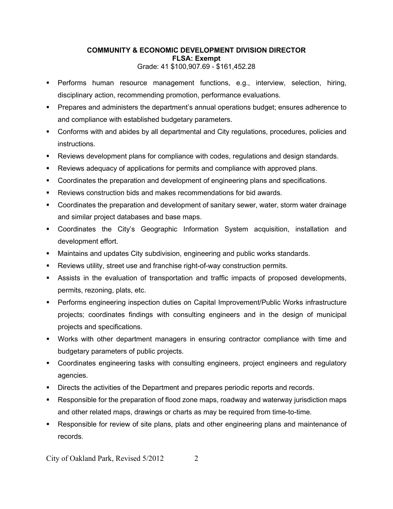- Performs human resource management functions, e.g., interview, selection, hiring, disciplinary action, recommending promotion, performance evaluations.
- Prepares and administers the department's annual operations budget; ensures adherence to and compliance with established budgetary parameters.
- Conforms with and abides by all departmental and City regulations, procedures, policies and instructions.
- Reviews development plans for compliance with codes, regulations and design standards.
- Reviews adequacy of applications for permits and compliance with approved plans.
- **Coordinates the preparation and development of engineering plans and specifications.**
- Reviews construction bids and makes recommendations for bid awards.
- Coordinates the preparation and development of sanitary sewer, water, storm water drainage and similar project databases and base maps.
- Coordinates the City's Geographic Information System acquisition, installation and development effort.
- Maintains and updates City subdivision, engineering and public works standards.
- Reviews utility, street use and franchise right-of-way construction permits.
- Assists in the evaluation of transportation and traffic impacts of proposed developments, permits, rezoning, plats, etc.
- Performs engineering inspection duties on Capital Improvement/Public Works infrastructure projects; coordinates findings with consulting engineers and in the design of municipal projects and specifications.
- Works with other department managers in ensuring contractor compliance with time and budgetary parameters of public projects.
- Coordinates engineering tasks with consulting engineers, project engineers and regulatory agencies.
- **Directs the activities of the Department and prepares periodic reports and records.**
- Responsible for the preparation of flood zone maps, roadway and waterway jurisdiction maps and other related maps, drawings or charts as may be required from time-to-time.
- Responsible for review of site plans, plats and other engineering plans and maintenance of records.

City of Oakland Park, Revised 5/2012 2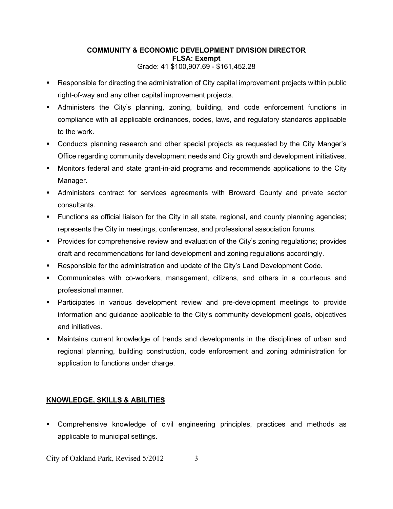- Responsible for directing the administration of City capital improvement projects within public right-of-way and any other capital improvement projects.
- Administers the City's planning, zoning, building, and code enforcement functions in compliance with all applicable ordinances, codes, laws, and regulatory standards applicable to the work.
- Conducts planning research and other special projects as requested by the City Manger's Office regarding community development needs and City growth and development initiatives.
- Monitors federal and state grant-in-aid programs and recommends applications to the City Manager.
- Administers contract for services agreements with Broward County and private sector consultants.
- Functions as official liaison for the City in all state, regional, and county planning agencies; represents the City in meetings, conferences, and professional association forums.
- Provides for comprehensive review and evaluation of the City's zoning regulations; provides draft and recommendations for land development and zoning regulations accordingly.
- Responsible for the administration and update of the City's Land Development Code.
- Communicates with co-workers, management, citizens, and others in a courteous and professional manner.
- Participates in various development review and pre-development meetings to provide information and guidance applicable to the City's community development goals, objectives and initiatives.
- Maintains current knowledge of trends and developments in the disciplines of urban and regional planning, building construction, code enforcement and zoning administration for application to functions under charge.

# **KNOWLEDGE, SKILLS & ABILITIES**

 Comprehensive knowledge of civil engineering principles, practices and methods as applicable to municipal settings.

City of Oakland Park, Revised 5/2012 3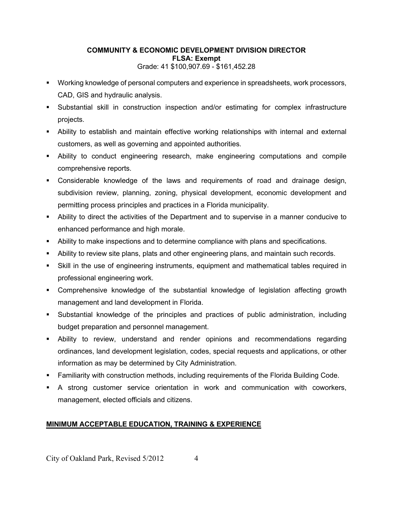- Working knowledge of personal computers and experience in spreadsheets, work processors, CAD, GIS and hydraulic analysis.
- Substantial skill in construction inspection and/or estimating for complex infrastructure projects.
- Ability to establish and maintain effective working relationships with internal and external customers, as well as governing and appointed authorities.
- Ability to conduct engineering research, make engineering computations and compile comprehensive reports.
- Considerable knowledge of the laws and requirements of road and drainage design, subdivision review, planning, zoning, physical development, economic development and permitting process principles and practices in a Florida municipality.
- Ability to direct the activities of the Department and to supervise in a manner conducive to enhanced performance and high morale.
- Ability to make inspections and to determine compliance with plans and specifications.
- Ability to review site plans, plats and other engineering plans, and maintain such records.
- Skill in the use of engineering instruments, equipment and mathematical tables required in professional engineering work.
- Comprehensive knowledge of the substantial knowledge of legislation affecting growth management and land development in Florida.
- Substantial knowledge of the principles and practices of public administration, including budget preparation and personnel management.
- Ability to review, understand and render opinions and recommendations regarding ordinances, land development legislation, codes, special requests and applications, or other information as may be determined by City Administration.
- Familiarity with construction methods, including requirements of the Florida Building Code.
- A strong customer service orientation in work and communication with coworkers, management, elected officials and citizens.

# **MINIMUM ACCEPTABLE EDUCATION, TRAINING & EXPERIENCE**

City of Oakland Park, Revised 5/2012 4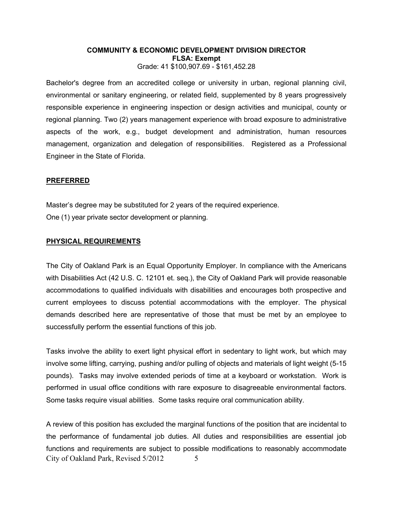Bachelor's degree from an accredited college or university in urban, regional planning civil, environmental or sanitary engineering, or related field, supplemented by 8 years progressively responsible experience in engineering inspection or design activities and municipal, county or regional planning. Two (2) years management experience with broad exposure to administrative aspects of the work, e.g., budget development and administration, human resources management, organization and delegation of responsibilities. Registered as a Professional Engineer in the State of Florida.

#### **PREFERRED**

Master's degree may be substituted for 2 years of the required experience. One (1) year private sector development or planning.

#### **PHYSICAL REQUIREMENTS**

The City of Oakland Park is an Equal Opportunity Employer. In compliance with the Americans with Disabilities Act (42 U.S. C. 12101 et. seq.), the City of Oakland Park will provide reasonable accommodations to qualified individuals with disabilities and encourages both prospective and current employees to discuss potential accommodations with the employer. The physical demands described here are representative of those that must be met by an employee to successfully perform the essential functions of this job.

Tasks involve the ability to exert light physical effort in sedentary to light work, but which may involve some lifting, carrying, pushing and/or pulling of objects and materials of light weight (5-15 pounds). Tasks may involve extended periods of time at a keyboard or workstation. Work is performed in usual office conditions with rare exposure to disagreeable environmental factors. Some tasks require visual abilities. Some tasks require oral communication ability.

City of Oakland Park, Revised 5/2012 5 A review of this position has excluded the marginal functions of the position that are incidental to the performance of fundamental job duties. All duties and responsibilities are essential job functions and requirements are subject to possible modifications to reasonably accommodate